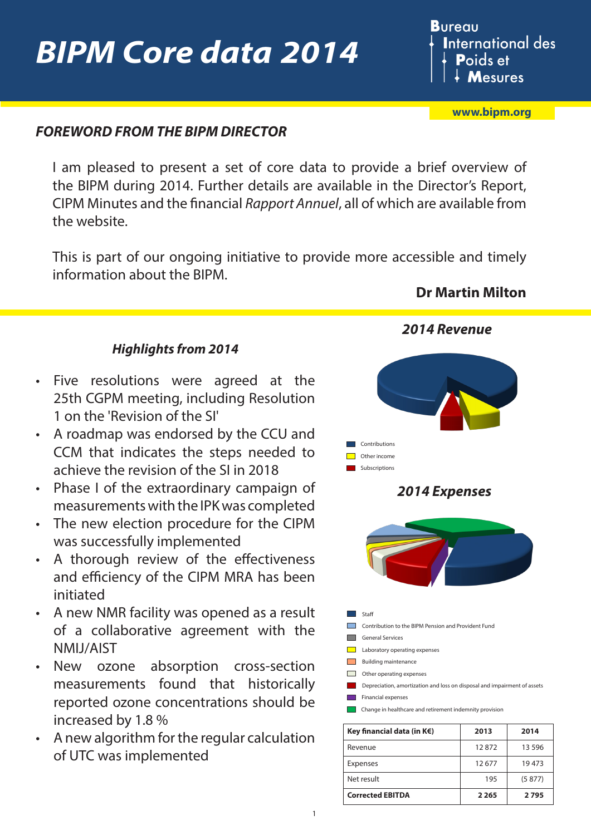# *BIPM Core data 2014*

**Bureau International des P**oids et **Mesures** 

**[www.bipm.org](http://www.bipm.org/en/home/)**

### *FOREWORD FROM THE BIPM DIRECTOR*

I am pleased to present a set of core data to provide a brief overview of the BIPM during 2014. Further details are available in the Director's Report, CIPM Minutes and the financial *Rapport Annuel*, all of which are available from the website.

This is part of our ongoing initiative to provide more accessible and timely information about the BIPM.

### **Dr Martin Milton**

*2014 Revenue*

#### *Highlights from 2014*

- Five resolutions were agreed at the 25th CGPM meeting, including Resolution 1 on the 'Revision of the SI'
- A roadmap was endorsed by the CCU and CCM that indicates the steps needed to achieve the revision of the SI in 2018
- Phase I of the extraordinary campaign of measurements with the IPK was completed
- The new election procedure for the CIPM was successfully implemented
- A thorough review of the effectiveness and efficiency of the CIPM MRA has been initiated
- A new NMR facility was opened as a result of a collaborative agreement with the NMIJ/AIST
- New ozone absorption cross-section measurements found that historically reported ozone concentrations should be increased by 1.8 %
- A new algorithm for the regular calculation of UTC was implemented



| Key financial data (in $K \in \Sigma$ ) | 2013    | 2014     |
|-----------------------------------------|---------|----------|
| Revenue                                 | 12872   | 13 5 9 6 |
| Expenses                                | 12677   | 19473    |
| Net result                              | 195     | (5877)   |
| <b>Corrected EBITDA</b>                 | 2 2 6 5 | 2795     |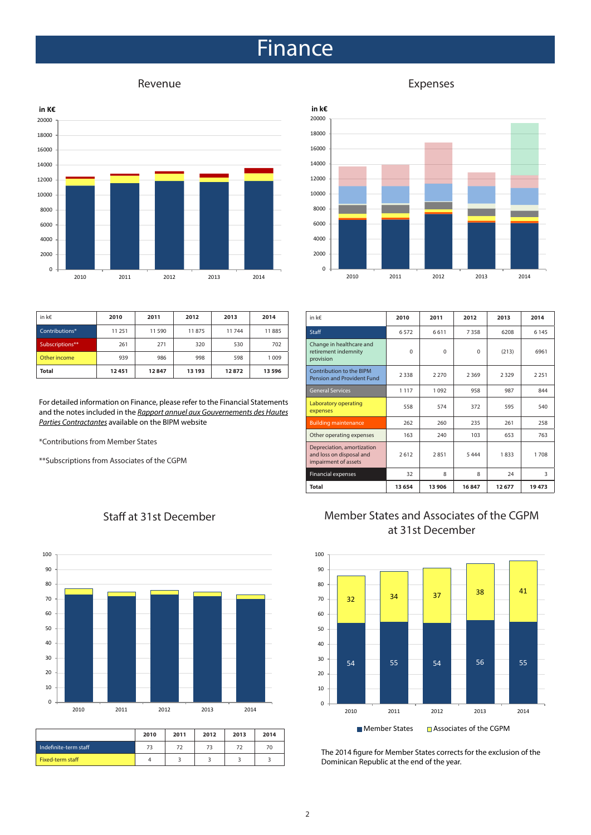### **Finance**



| in k $\epsilon$<br>20000 |      |      |      |      |      |
|--------------------------|------|------|------|------|------|
| 18000                    |      |      |      |      |      |
| 16000                    |      |      |      |      |      |
| 14000                    |      |      |      |      |      |
| 12000                    |      |      |      |      |      |
| 10000                    |      |      |      |      |      |
| 8000                     |      |      |      |      |      |
| 6000                     |      |      |      |      |      |
| 4000                     |      |      |      |      |      |
| 2000                     |      |      |      |      |      |
| 0                        |      |      |      |      |      |
|                          | 2010 | 2011 | 2012 | 2013 | 2014 |

| in $k \in$      | 2010   | 2011  | 2012   | 2013  | 2014  |
|-----------------|--------|-------|--------|-------|-------|
| Contributions*  | 11 251 | 11590 | 11875  | 11744 | 11885 |
| Subscriptions** | 261    | 271   | 320    | 530   | 702   |
| Other income    | 939    | 986   | 998    | 598   | 1009  |
| <b>Total</b>    | 12451  | 12847 | 13 193 | 12872 | 13596 |

For detailed information on Finance, please refer to the Financial Statements and the notes included in the *[Rapport annuel aux Gouvernements des Hautes](http://www.bipm.org/utils/common/pdf/rapport-annuel/Rapport-annuel-BIPM-2014.pdf) [Parties Contractantes](http://www.bipm.org/utils/common/pdf/rapport-annuel/Rapport-annuel-BIPM-2014.pdf)* available on the BIPM website

\*Contributions from Member States

\*\*Subscriptions from Associates of the CGPM



| Staff at 31st December |  |
|------------------------|--|
|------------------------|--|

|                       | 2010 | 2011 | 2012 | 2013 | 2014 |
|-----------------------|------|------|------|------|------|
| Indefinite-term staff | 73   | 72   | 73   | 72   | 70   |
| Fixed-term staff      |      |      |      |      |      |

| in k€                                                                          | 2010     | 2011     | 2012     | 2013   | 2014    |
|--------------------------------------------------------------------------------|----------|----------|----------|--------|---------|
| <b>Staff</b>                                                                   | 6572     | 6611     | 7358     | 6208   | 6 1 4 5 |
| Change in healthcare and<br>retirement indemnity<br>provision                  | $\Omega$ | $\Omega$ | $\Omega$ | (213)  | 6961    |
| Contribution to the BIPM<br>Pension and Provident Fund                         | 2338     | 2 2 7 0  | 2369     | 2329   | 2 2 5 1 |
| General Services                                                               | 1 1 1 7  | 1 0 9 2  | 958      | 987    | 844     |
| Laboratory operating<br>expenses                                               | 558      | 574      | 372      | 595    | 540     |
| <b>Building maintenance</b>                                                    | 262      | 260      | 235      | 261    | 258     |
| Other operating expenses                                                       | 163      | 240      | 103      | 653    | 763     |
| Depreciation, amortization<br>and loss on disposal and<br>impairment of assets | 2612     | 2851     | 5 4 4 4  | 1833   | 1708    |
| <b>Financial expenses</b>                                                      | 32       | 8        | 8        | 24     | 3       |
| <b>Total</b>                                                                   | 13 6 54  | 13 906   | 16847    | 12 677 | 19473   |

#### Member States and Associates of the CGPM at 31st December



The 2014 figure for Member States corrects for the exclusion of the Dominican Republic at the end of the year.

#### Revenue **Expenses**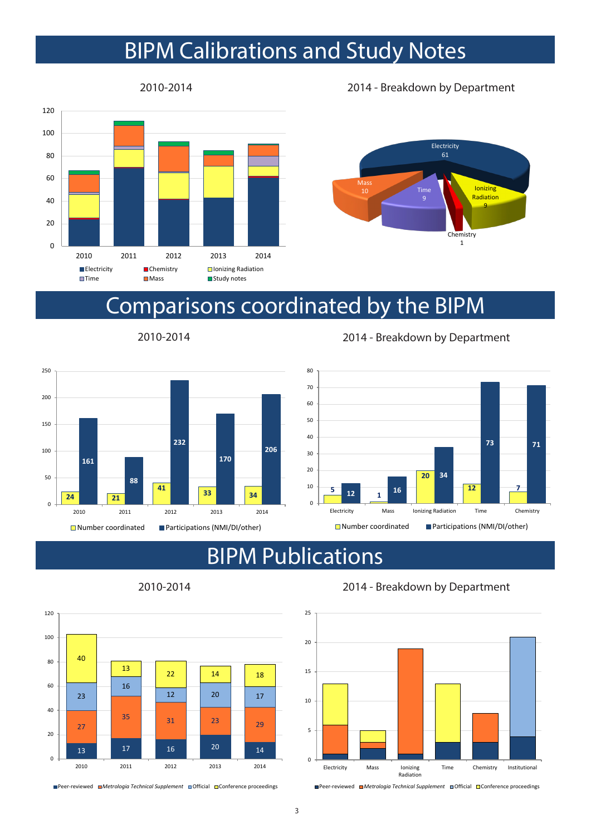## BIPM Calibrations and Study Notes



2010-2014 2014 - Breakdown by Department



### Comparisons coordinated by the BIPM



2010-2014 2014 - Breakdown by Department



## BIPM Publications



2010-2014 2014 - Breakdown by Department



■ Peer-reviewed ■ Metrologia Technical Supplement ■ Official ■ Conference proceedings

■ Peer-reviewed ■ Metrologia Technical Supplement ■ Official ■ Conference proceedings